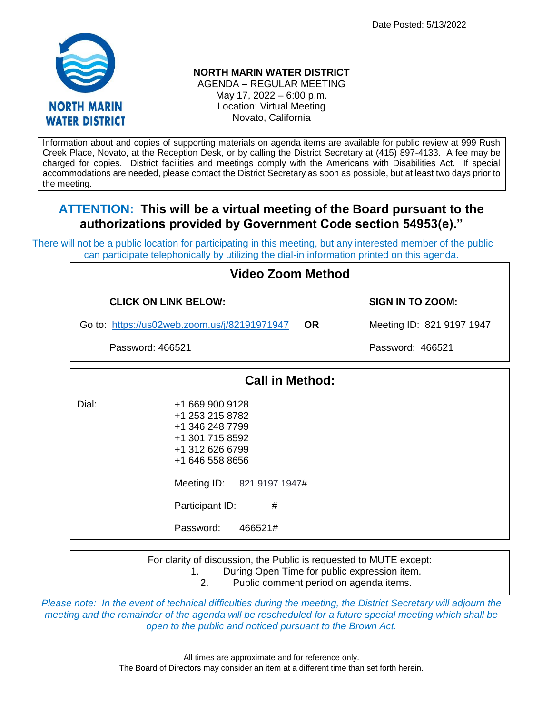Date Posted: 5/13/2022



## **NORTH MARIN WATER DISTRICT**

AGENDA – REGULAR MEETING May 17, 2022 – 6:00 p.m. Location: Virtual Meeting Novato, California

Information about and copies of supporting materials on agenda items are available for public review at 999 Rush Creek Place, Novato, at the Reception Desk, or by calling the District Secretary at (415) 897-4133. A fee may be charged for copies. District facilities and meetings comply with the Americans with Disabilities Act. If special accommodations are needed, please contact the District Secretary as soon as possible, but at least two days prior to the meeting.

## **ATTENTION: This will be a virtual meeting of the Board pursuant to the authorizations provided by Government Code section 54953(e)."**

There will not be a public location for participating in this meeting, but any interested member of the public can participate telephonically by utilizing the dial-in information printed on this agenda.

| <b>Video Zoom Method</b>                                  |                                                                                                                                                                              |              |                           |  |  |  |
|-----------------------------------------------------------|------------------------------------------------------------------------------------------------------------------------------------------------------------------------------|--------------|---------------------------|--|--|--|
| <b>CLICK ON LINK BELOW:</b>                               |                                                                                                                                                                              |              | <b>SIGN IN TO ZOOM:</b>   |  |  |  |
| <b>OR</b><br>Go to: https://us02web.zoom.us/j/82191971947 |                                                                                                                                                                              |              | Meeting ID: 821 9197 1947 |  |  |  |
| Password: 466521                                          |                                                                                                                                                                              |              | Password: 466521          |  |  |  |
| <b>Call in Method:</b>                                    |                                                                                                                                                                              |              |                           |  |  |  |
| Dial:                                                     | +1 669 900 9128<br>+1 253 215 8782<br>+1 346 248 7799<br>+1 301 715 8592<br>+1 312 626 6799<br>+1 646 558 8656<br>Meeting ID: 821 9197 1947#<br>Participant ID:<br>Password: | #<br>466521# |                           |  |  |  |

For clarity of discussion, the Public is requested to MUTE except:

1. During Open Time for public expression item.

2. Public comment period on agenda items.

*Please note: In the event of technical difficulties during the meeting, the District Secretary will adjourn the meeting and the remainder of the agenda will be rescheduled for a future special meeting which shall be open to the public and noticed pursuant to the Brown Act.*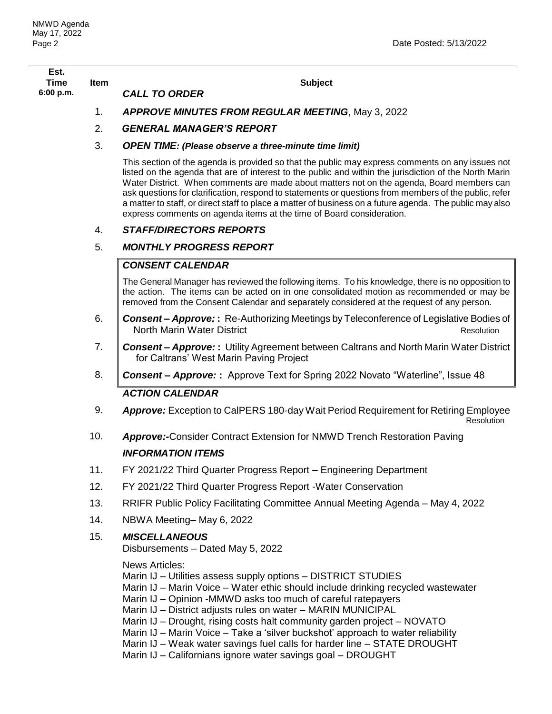| Est.        |      |                                                                                                                                                                                                                                                                                                                                                                                                                                                                                                                                                                                                                     |  |
|-------------|------|---------------------------------------------------------------------------------------------------------------------------------------------------------------------------------------------------------------------------------------------------------------------------------------------------------------------------------------------------------------------------------------------------------------------------------------------------------------------------------------------------------------------------------------------------------------------------------------------------------------------|--|
| <b>Time</b> | Item | <b>Subject</b><br><b>CALL TO ORDER</b>                                                                                                                                                                                                                                                                                                                                                                                                                                                                                                                                                                              |  |
| 6:00 p.m.   |      |                                                                                                                                                                                                                                                                                                                                                                                                                                                                                                                                                                                                                     |  |
|             | 1.   | <b>APPROVE MINUTES FROM REGULAR MEETING, May 3, 2022</b>                                                                                                                                                                                                                                                                                                                                                                                                                                                                                                                                                            |  |
|             | 2.   | <b>GENERAL MANAGER'S REPORT</b>                                                                                                                                                                                                                                                                                                                                                                                                                                                                                                                                                                                     |  |
|             | 3.   | <b>OPEN TIME: (Please observe a three-minute time limit)</b>                                                                                                                                                                                                                                                                                                                                                                                                                                                                                                                                                        |  |
|             |      | This section of the agenda is provided so that the public may express comments on any issues not<br>listed on the agenda that are of interest to the public and within the jurisdiction of the North Marin<br>Water District. When comments are made about matters not on the agenda, Board members can<br>ask questions for clarification, respond to statements or questions from members of the public, refer<br>a matter to staff, or direct staff to place a matter of business on a future agenda. The public may also<br>express comments on agenda items at the time of Board consideration.                |  |
|             | 4.   | <b>STAFF/DIRECTORS REPORTS</b>                                                                                                                                                                                                                                                                                                                                                                                                                                                                                                                                                                                      |  |
|             | 5.   | <b>MONTHLY PROGRESS REPORT</b>                                                                                                                                                                                                                                                                                                                                                                                                                                                                                                                                                                                      |  |
|             |      | <b>CONSENT CALENDAR</b>                                                                                                                                                                                                                                                                                                                                                                                                                                                                                                                                                                                             |  |
|             |      | The General Manager has reviewed the following items. To his knowledge, there is no opposition to<br>the action. The items can be acted on in one consolidated motion as recommended or may be<br>removed from the Consent Calendar and separately considered at the request of any person.                                                                                                                                                                                                                                                                                                                         |  |
|             | 6.   | <b>Consent – Approve::</b> Re-Authorizing Meetings by Teleconference of Legislative Bodies of<br>North Marin Water District<br><b>Resolution</b>                                                                                                                                                                                                                                                                                                                                                                                                                                                                    |  |
|             | 7.   | <b>Consent – Approve::</b> Utility Agreement between Caltrans and North Marin Water District<br>for Caltrans' West Marin Paving Project                                                                                                                                                                                                                                                                                                                                                                                                                                                                             |  |
|             | 8.   | <b>Consent – Approve:</b> : Approve Text for Spring 2022 Novato "Waterline", Issue 48                                                                                                                                                                                                                                                                                                                                                                                                                                                                                                                               |  |
|             |      | <b>ACTION CALENDAR</b>                                                                                                                                                                                                                                                                                                                                                                                                                                                                                                                                                                                              |  |
|             | 9.   | Approve: Exception to CalPERS 180-day Wait Period Requirement for Retiring Employee<br>Resolution                                                                                                                                                                                                                                                                                                                                                                                                                                                                                                                   |  |
|             | 10.  | <b>Approve:-</b> Consider Contract Extension for NMWD Trench Restoration Paving                                                                                                                                                                                                                                                                                                                                                                                                                                                                                                                                     |  |
|             |      | <b>INFORMATION ITEMS</b>                                                                                                                                                                                                                                                                                                                                                                                                                                                                                                                                                                                            |  |
|             | 11.  | FY 2021/22 Third Quarter Progress Report - Engineering Department                                                                                                                                                                                                                                                                                                                                                                                                                                                                                                                                                   |  |
|             | 12.  | FY 2021/22 Third Quarter Progress Report - Water Conservation                                                                                                                                                                                                                                                                                                                                                                                                                                                                                                                                                       |  |
|             | 13.  | RRIFR Public Policy Facilitating Committee Annual Meeting Agenda - May 4, 2022                                                                                                                                                                                                                                                                                                                                                                                                                                                                                                                                      |  |
|             | 14.  | NBWA Meeting-May 6, 2022                                                                                                                                                                                                                                                                                                                                                                                                                                                                                                                                                                                            |  |
|             | 15.  | <b>MISCELLANEOUS</b><br>Disbursements - Dated May 5, 2022                                                                                                                                                                                                                                                                                                                                                                                                                                                                                                                                                           |  |
|             |      | <b>News Articles:</b><br>Marin IJ - Utilities assess supply options - DISTRICT STUDIES<br>Marin IJ – Marin Voice – Water ethic should include drinking recycled wastewater<br>Marin IJ – Opinion -MMWD asks too much of careful ratepayers<br>Marin IJ - District adjusts rules on water - MARIN MUNICIPAL<br>Marin IJ – Drought, rising costs halt community garden project – NOVATO<br>Marin IJ – Marin Voice – Take a 'silver buckshot' approach to water reliability<br>Marin IJ - Weak water savings fuel calls for harder line - STATE DROUGHT<br>Marin IJ - Californians ignore water savings goal - DROUGHT |  |